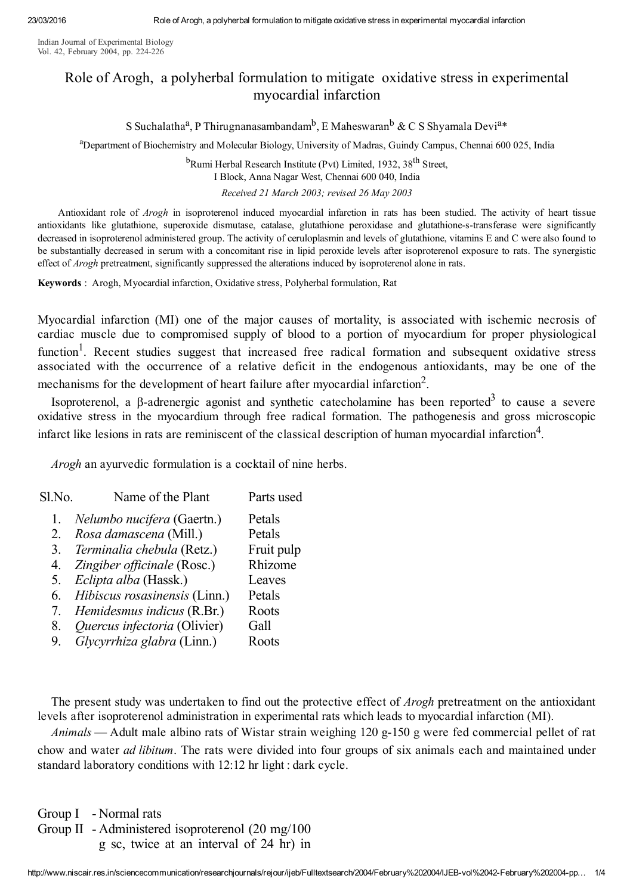Indian Journal of Experimental Biology Vol. 42, February 2004, pp. 224-226

## Role of Arogh, a polyherbal formulation to mitigate oxidative stress in experimental myocardial infarction

S Suchalatha<sup>a</sup>, P Thirugnanasambandam<sup>b</sup>, E Maheswaran<sup>b</sup> & C S Shyamala Devi<sup>a\*</sup>

<sup>a</sup>Department of Biochemistry and Molecular Biology, University of Madras, Guindy Campus, Chennai 600 025, India

<sup>b</sup>Rumi Herbal Research Institute (Pvt) Limited, 1932, 38<sup>th</sup> Street,

I Block, Anna Nagar West, Chennai 600 040, India

Received 21 March 2003; revised 26 May 2003

Antioxidant role of Arogh in isoproterenol induced myocardial infarction in rats has been studied. The activity of heart tissue antioxidants like glutathione, superoxide dismutase, catalase, glutathione peroxidase and glutathione-s-transferase were significantly decreased in isoproterenol administered group. The activity of ceruloplasmin and levels of glutathione, vitamins E and C were also found to be substantially decreased in serum with a concomitant rise in lipid peroxide levels after isoproterenol exposure to rats. The synergistic effect of *Arogh* pretreatment, significantly suppressed the alterations induced by isoproterenol alone in rats.

Keywords : Arogh, Myocardial infarction, Oxidative stress, Polyherbal formulation, Rat

Myocardial infarction (MI) one of the major causes of mortality, is associated with ischemic necrosis of cardiac muscle due to compromised supply of blood to a portion of myocardium for proper physiological function<sup>1</sup>. Recent studies suggest that increased free radical formation and subsequent oxidative stress associated with the occurrence of a relative deficit in the endogenous antioxidants, may be one of the mechanisms for the development of heart failure after myocardial infarction<sup>2</sup>.

Isoproterenol, a  $\beta$ -adrenergic agonist and synthetic catecholamine has been reported<sup>3</sup> to cause a severe oxidative stress in the myocardium through free radical formation. The pathogenesis and gross microscopic infarct like lesions in rats are reminiscent of the classical description of human myocardial infarction 4 .

Arogh an ayurvedic formulation is a cocktail of nine herbs.

| Sl.No. | Name of the Plant             | Parts used |
|--------|-------------------------------|------------|
| 1.     | Nelumbo nucifera (Gaertn.)    | Petals     |
| 2.     | Rosa damascena (Mill.)        | Petals     |
| 3.     | Terminalia chebula (Retz.)    | Fruit pulp |
| 4.     | Zingiber officinale (Rosc.)   | Rhizome    |
| 5.     | Eclipta alba (Hassk.)         | Leaves     |
| 6.     | Hibiscus rosasinensis (Linn.) | Petals     |
|        | Hemidesmus indicus (R.Br.)    | Roots      |
| 8.     | Quercus infectoria (Olivier)  | Gall       |
| 9.     | Glycyrrhiza glabra (Linn.)    | Roots      |

The present study was undertaken to find out the protective effect of *Arogh* pretreatment on the antioxidant levels after isoproterenol administration in experimental rats which leads to myocardial infarction (MI).

Animals — Adult male albino rats of Wistar strain weighing  $120$  g- $150$  g were fed commercial pellet of rat chow and water ad libitum. The rats were divided into four groups of six animals each and maintained under standard laboratory conditions with 12:12 hr light : dark cycle.

Group I - Normal rats

Group II Administered isoproterenol (20 mg/100

g sc, twice at an interval of 24 hr) in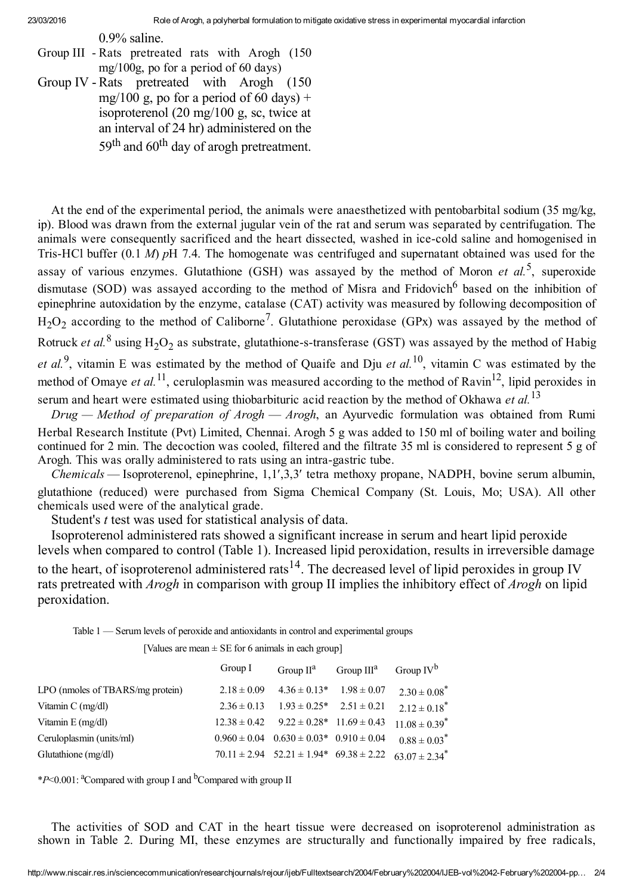0.9% saline.

- Group III Rats pretreated rats with Arogh (150) mg/100g, po for a period of 60 days)
- Group IV Rats pretreated with Arogh (150) mg/100 g, po for a period of 60 days) + isoproterenol (20 mg/100 g, sc, twice at an interval of 24 hr) administered on the 59<sup>th</sup> and 60<sup>th</sup> day of arogh pretreatment.

At the end of the experimental period, the animals were anaesthetized with pentobarbital sodium (35 mg/kg, ip). Blood was drawn from the external jugular vein of the rat and serum was separated by centrifugation. The animals were consequently sacrificed and the heart dissected, washed in ice-cold saline and homogenised in Tris-HCl buffer  $(0.1 \, M)$  pH 7.4. The homogenate was centrifuged and supernatant obtained was used for the assay of various enzymes. Glutathione (GSH) was assayed by the method of Moron et al.<sup>5</sup>, superoxide dismutase (SOD) was assayed according to the method of Misra and Fridovich<sup>6</sup> based on the inhibition of epinephrine autoxidation by the enzyme, catalase (CAT) activity was measured by following decomposition of  $H_2O_2$  according to the method of Caliborne<sup>7</sup>. Glutathione peroxidase (GPx) was assayed by the method of Rotruck *et al.*<sup>8</sup> using  $H_2O_2$  as substrate, glutathione-s-transferase (GST) was assayed by the method of Habig et al.<sup>9</sup>, vitamin E was estimated by the method of Quaife and Dju et al.<sup>10</sup>, vitamin C was estimated by the method of Omaye et al.<sup>11</sup>, ceruloplasmin was measured according to the method of Ravin<sup>12</sup>, lipid peroxides in serum and heart were estimated using thiobarbituric acid reaction by the method of Okhawa et al.<sup>13</sup>

 $Drug - Method$  of preparation of  $Arogh - Arogh$ , an Ayurvedic formulation was obtained from Rumi Herbal Research Institute (Pvt) Limited, Chennai. Arogh 5 g was added to 150 ml of boiling water and boiling continued for 2 min. The decoction was cooled, filtered and the filtrate 35 ml is considered to represent 5 g of Arogh. This was orally administered to rats using an intra-gastric tube.

Chemicals — Isoproterenol, epinephrine, 1,1',3,3' tetra methoxy propane, NADPH, bovine serum albumin, glutathione (reduced) were purchased from Sigma Chemical Company (St. Louis, Mo; USA). All other chemicals used were of the analytical grade.

Student's t test was used for statistical analysis of data.

Isoproterenol administered rats showed a significant increase in serum and heart lipid peroxide levels when compared to control (Table 1). Increased lipid peroxidation, results in irreversible damage to the heart, of isoproterenol administered rats<sup>14</sup>. The decreased level of lipid peroxides in group IV rats pretreated with *Arogh* in comparison with group II implies the inhibitory effect of *Arogh* on lipid peroxidation.

Table 1 — Serum levels of peroxide and antioxidants in control and experimental groups

[Values are mean  $\pm$  SE for 6 animals in each group]

|                                          | Group I          | Group $II^d$                                                    | Group $III^a$   | Group $IV^b$                  |
|------------------------------------------|------------------|-----------------------------------------------------------------|-----------------|-------------------------------|
| LPO (nmoles of TBARS/mg protein)         | $2.18 \pm 0.09$  | $4.36 \pm 0.13*$                                                | $1.98 \pm 0.07$ | $2.30 \pm 0.08^*$             |
| Vitamin $C \left( \frac{mg}{dl} \right)$ | $2.36 \pm 0.13$  | $1.93 \pm 0.25^*$                                               | $2.51 \pm 0.21$ | $2.12 \pm 0.18^*$             |
| Vitamin E (mg/dl)                        | $12.38 \pm 0.42$ | $9.22 \pm 0.28^*$ 11.69 $\pm$ 0.43                              |                 | $11.08 \pm 0.39$ <sup>*</sup> |
| Ceruloplasmin (units/ml)                 |                  | $0.960 \pm 0.04$ $0.630 \pm 0.03$ <sup>*</sup> $0.910 \pm 0.04$ |                 | $0.88 \pm 0.03$ <sup>*</sup>  |
| Glutathione (mg/dl)                      |                  | $70.11 \pm 2.94$ $52.21 \pm 1.94$ $69.38 \pm 2.22$              |                 | $63.07 \pm 2.34$ <sup>*</sup> |

\*P<0.001:  $^{\circ}$ Compared with group I and  $^{\circ}$ Compared with group II

The activities of SOD and CAT in the heart tissue were decreased on isoproterenol administration as shown in Table 2. During MI, these enzymes are structurally and functionally impaired by free radicals,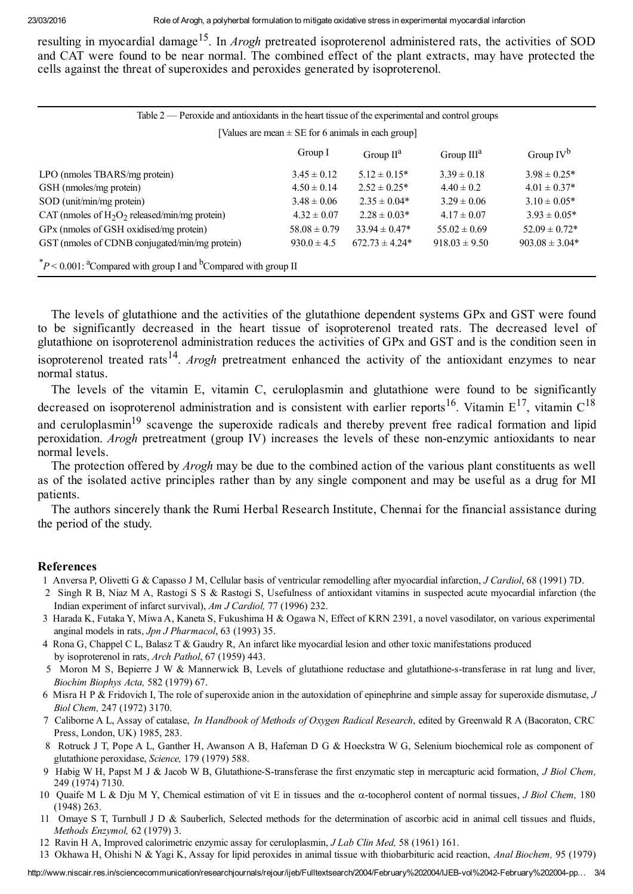resulting in myocardial damage<sup>15</sup>. In *Arogh* pretreated isoproterenol administered rats, the activities of SOD and CAT were found to be near normal. The combined effect of the plant extracts, may have protected the cells against the threat of superoxides and peroxides generated by isoproterenol.

| Table 2 — Peroxide and antioxidants in the heart tissue of the experimental and control groups |                  |                    |                   |                    |  |  |  |
|------------------------------------------------------------------------------------------------|------------------|--------------------|-------------------|--------------------|--|--|--|
| [Values are mean $\pm$ SE for 6 animals in each group]                                         |                  |                    |                   |                    |  |  |  |
|                                                                                                | Group I          | Group $II^a$       | Group $III^a$     | Group $IV^b$       |  |  |  |
| LPO (nmoles TBARS/mg protein)                                                                  | $3.45 \pm 0.12$  | $5.12 \pm 0.15^*$  | $3.39 \pm 0.18$   | $3.98 \pm 0.25^*$  |  |  |  |
| GSH (nmoles/mg protein)                                                                        | $4.50 \pm 0.14$  | $2.52 \pm 0.25^*$  | $4.40 \pm 0.2$    | $4.01 \pm 0.37^*$  |  |  |  |
| SOD (unit/min/mg protein)                                                                      | $3.48 \pm 0.06$  | $2.35 \pm 0.04*$   | $3.29 \pm 0.06$   | $3.10 \pm 0.05*$   |  |  |  |
| CAT (nmoles of $H_2O_2$ released/min/mg protein)                                               | $4.32 \pm 0.07$  | $2.28 \pm 0.03*$   | $4.17 \pm 0.07$   | $3.93 \pm 0.05*$   |  |  |  |
| GPx (nmoles of GSH oxidised/mg protein)                                                        | $58.08 \pm 0.79$ | $33.94 \pm 0.47^*$ | $55.02 \pm 0.69$  | $52.09 \pm 0.72*$  |  |  |  |
| GST (nmoles of CDNB conjugated/min/mg protein)                                                 | $930.0 \pm 4.5$  | $672.73 \pm 4.24*$ | $918.03 \pm 9.50$ | $903.08 \pm 3.04*$ |  |  |  |
| $^*P$ < 0.001: <sup>a</sup> Compared with group I and <sup>b</sup> Compared with group II      |                  |                    |                   |                    |  |  |  |

The levels of glutathione and the activities of the glutathione dependent systems GPx and GST were found to be significantly decreased in the heart tissue of isoproterenol treated rats. The decreased level of glutathione on isoproterenol administration reduces the activities of GPx and GST and is the condition seen in isoproterenol treated rats<sup>14</sup>. Arogh pretreatment enhanced the activity of the antioxidant enzymes to near normal status.

The levels of the vitamin E, vitamin C, ceruloplasmin and glutathione were found to be significantly decreased on isoproterenol administration and is consistent with earlier reports<sup>16</sup>. Vitamin  $E^{17}$ , vitamin  $C^{18}$ and ceruloplasmin<sup>19</sup> scavenge the superoxide radicals and thereby prevent free radical formation and lipid peroxidation. Arogh pretreatment (group IV) increases the levels of these non-enzymic antioxidants to near normal levels.

The protection offered by *Arogh* may be due to the combined action of the various plant constituents as well as of the isolated active principles rather than by any single component and may be useful as a drug for MI patients.

The authors sincerely thank the Rumi Herbal Research Institute, Chennai for the financial assistance during the period of the study.

## References

- 1 Anversa P, Olivetti G & Capasso J M, Cellular basis of ventricular remodelling after myocardial infarction, J Cardiol, 68 (1991) 7D.
- 2 Singh R B, Niaz M A, Rastogi S S & Rastogi S, Usefulness of antioxidant vitamins in suspected acute myocardial infarction (the Indian experiment of infarct survival), Am J Cardiol, 77 (1996) 232.
- 3 Harada K, Futaka Y, Miwa A, Kaneta S, Fukushima H & Ogawa N, Effect of KRN 2391, a novel vasodilator, on various experimental anginal models in rats, Jpn J Pharmacol, 63 (1993) 35.
- 4 Rona G, Chappel C L, Balasz T & Gaudry R, An infarct like myocardial lesion and other toxic manifestations produced by isoproterenol in rats, Arch Pathol, 67 (1959) 443.
- 5 Moron M S, Bepierre J W & Mannerwick B, Levels of glutathione reductase and glutathione-s-transferase in rat lung and liver, Biochim Biophys Acta, 582 (1979) 67.
- 6 Misra H P & Fridovich I, The role of superoxide anion in the autoxidation of epinephrine and simple assay for superoxide dismutase, J Biol Chem, 247 (1972) 3170.
- 7 Caliborne A L, Assay of catalase, In Handbook of Methods of Oxygen Radical Research, edited by Greenwald R A (Bacoraton, CRC Press, London, UK) 1985, 283.
- 8 Rotruck J T, Pope A L, Ganther H, Awanson A B, Hafeman D G & Hoeckstra W G, Selenium biochemical role as component of glutathione peroxidase, Science, 179 (1979) 588.
- 9 Habig W H, Papst M J & Jacob W B, Glutathione-S-transferase the first enzymatic step in mercapturic acid formation, J Biol Chem, 249 (1974) 7130.
- 10 Quaife M L & Dju M Y, Chemical estimation of vit E in tissues and the  $\alpha$ -tocopherol content of normal tissues, J Biol Chem, 180 (1948) 263.
- 11 Omaye S T, Turnbull J D & Sauberlich, Selected methods for the determination of ascorbic acid in animal cell tissues and fluids, Methods Enzymol, 62 (1979) 3.
- 12 Ravin H A, Improved calorimetric enzymic assay for ceruloplasmin, J Lab Clin Med, 58 (1961) 161.
- 13 Okhawa H, Ohishi N & Yagi K, Assay for lipid peroxides in animal tissue with thiobarbituric acid reaction, *Anal Biochem*, 95 (1979)

http://www.niscair.res.in/sciencecommunication/researchjournals/rejour/ijeb/Fulltextsearch/2004/February%202004/IJEBvol%2042February%202004pp… 3/4